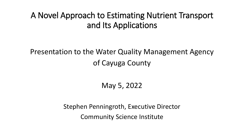## A Novel Approach to Estimating Nutrient Transport and Its Applications

## Presentation to the Water Quality Management Agency of Cayuga County

May 5, 2022

Stephen Penningroth, Executive Director Community Science Institute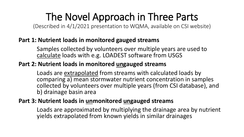# The Novel Approach in Three Parts

(Described in 4/1/2021 presentation to WQMA, available on CSI website)

### **Part 1: Nutrient loads in monitored gauged streams**

Samples collected by volunteers over multiple years are used to calculate loads with e.g. LOADEST software from USGS

### **Part 2: Nutrient loads in monitored ungauged streams**

Loads are extrapolated from streams with calculated loads by comparing a) mean stormwater nutrient concentration in samples collected by volunteers over multiple years (from CSI database), and b) drainage basin area

### **Part 3: Nutrient loads in unmonitored ungauged streams**

Loads are approximated by multiplying the drainage area by nutrient yields extrapolated from known yields in similar drainages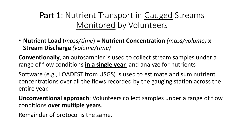Part 1: Nutrient Transport in Gauged Streams Monitored by Volunteers

• **Nutrient Load** (*mass/time*) **= Nutrient Concentration** *(mass/volume)* **x Stream Discharge** *(volume/time)*

**Conventionally**, an autosampler is used to collect stream samples under a range of flow conditions **in a single year** and analyze for nutrients

Software (e.g., LOADEST from USGS) is used to estimate and sum nutrient concentrations over all the flows recorded by the gauging station across the entire year.

**Unconventional approach**: Volunteers collect samples under a range of flow conditions **over multiple years**.

Remainder of protocol is the same.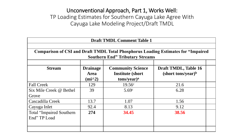### Unconventional Approach, Part 1, Works Well: TP Loading Estimates for Southern Cayuga Lake Agree With Cayuga Lake Modeling Project/Draft TMDL

|                                             | Comparison of CSI and Draft TMDL Total Phosphorus Loading Estimates for "Impaired<br><b>Southern End" Tributary Streams</b> |                                                        |  |  |  |  |  |  |  |  |  |
|---------------------------------------------|-----------------------------------------------------------------------------------------------------------------------------|--------------------------------------------------------|--|--|--|--|--|--|--|--|--|
| <b>Drainage</b><br><b>Area</b><br>$(imi^2)$ | <b>Community Science</b><br><b>Institute (short)</b><br>$tons/year)^a$                                                      | Draft TMDL, Table 16<br>(short tons/year) <sup>b</sup> |  |  |  |  |  |  |  |  |  |
| 129                                         | 19.56c                                                                                                                      | 21.6                                                   |  |  |  |  |  |  |  |  |  |
| 39                                          | 5.69c                                                                                                                       | 6.28                                                   |  |  |  |  |  |  |  |  |  |
| 13.7                                        | 1.07                                                                                                                        | 1.56                                                   |  |  |  |  |  |  |  |  |  |
| 92.4                                        | 8.13                                                                                                                        | 9.12                                                   |  |  |  |  |  |  |  |  |  |
| 274                                         | 34.45                                                                                                                       | 38.56                                                  |  |  |  |  |  |  |  |  |  |
|                                             |                                                                                                                             |                                                        |  |  |  |  |  |  |  |  |  |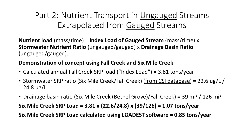Part 2: Nutrient Transport in Ungauged Streams Extrapolated from Gauged Streams

**Nutrient load** (mass/time) = **Index Load of Gauged Stream** (mass/time) x **Stormwater Nutrient Ratio** (ungauged/gauged) x **Drainage Basin Ratio**  (ungauged/gauged).

### **Demonstration of concept using Fall Creek and Six Mile Creek**

- Calculated annual Fall Creek SRP load ("Index Load") = 3.81 tons/year
- Stormwater SRP ratio (Six Mile Creek/Fall Creek) (from CSI database) = 22.6 ug/L / 24.8 ug/L
- Drainage basin ratio (Six Mile Creek (Bethel Grove)/Fall Creek) = 39 mi<sup>2</sup> / 126 mi<sup>2</sup>

**Six Mile Creek SRP Load = 3.81 x (22.6/24.8) x (39/126) = 1.07 tons/year**

**Six Mile Creek SRP Load calculated using LOADEST software = 0.85 tons/year**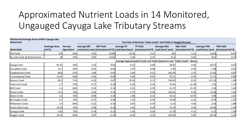## Approximated Nutrient Loads in 14 Monitored, Ungauged Cayuga Lake Tributary Streams

| <b>Monitored Drainage Areas within Cayuga Lake</b> |                                  |                               |                    |                                                                        |                   |                                                      |                                                                 |                                                                           |                                        |                                      |
|----------------------------------------------------|----------------------------------|-------------------------------|--------------------|------------------------------------------------------------------------|-------------------|------------------------------------------------------|-----------------------------------------------------------------|---------------------------------------------------------------------------|----------------------------------------|--------------------------------------|
| <b>Watershed</b>                                   |                                  |                               |                    |                                                                        |                   |                                                      | Two Sets of Nutrient "Index Loads" and Yields in Gauged Streams |                                                                           |                                        |                                      |
| <b>Watershed</b>                                   | <b>Drainage Area</b><br>$(mi^2)$ | Percent<br><b>Agriculture</b> | <b>Average SRP</b> | <b>SRP Yield</b><br>Load (tons/year) (tons/year/mi^2) Load (tons/year) | <b>Average TP</b> | <b>TP Yield</b><br>(tons/year/mi^2) Load (tons/year) | <b>Average NOx</b>                                              | <b>NOx Yield</b><br>(tons/year/mi^2)                                      | <b>Average TKN</b><br>Load (tons/year) | <b>TKN Yield</b><br>(tons/year/mi^2) |
| <b>Fall Creek</b>                                  | 129                              | 46%                           | 3.81               | 0.030                                                                  | 19.56             | 0.15                                                 | 156                                                             | 1.21                                                                      | 124.8                                  | 0.97                                 |
| Six mile Creek @ Bethel Grove                      | 39                               | 24%                           | 0.85               | 0.022                                                                  | 5.69              | 0.15                                                 | 21.8                                                            | 0.56                                                                      | 28.5                                   | 0.73                                 |
|                                                    |                                  |                               |                    |                                                                        |                   |                                                      |                                                                 | Average Approximated Loads and Yields (based on two "Index Loads," above) |                                        |                                      |
| Cayuga Inlet                                       | 92.37                            | 36%                           | 1.63               | 0.02                                                                   | 8.13              | 0.09                                                 | 39.87                                                           | 0.43                                                                      | 49.27                                  | 0.53                                 |
| Cascadilla Creek                                   | 13.7                             | 24%                           | 0.55               | 0.04                                                                   | 1.07              | 0.08                                                 | 5.40                                                            | 0.39                                                                      | 7.58                                   | 0.55                                 |
| Taughannock Creek                                  | 66.8                             | 57%                           | 1.89               | 0.03                                                                   | 7.90              | 0.12                                                 | 183.39                                                          | 2.75                                                                      | 57.82                                  | 0.87                                 |
| Trumansburg Creek                                  | 13.07                            | 66%                           | 0.56               | 0.04                                                                   | 0.94              | 0.07                                                 | 35.21                                                           | 2.69                                                                      | 11.71                                  | 0.90                                 |
| Salmon Creek                                       | 89.2                             | 71%                           | 6.33               | 0.07                                                                   | 15.34             | 0.17                                                 | 740.83                                                          | 8.31                                                                      | 121.19                                 | 1.36                                 |
| Town Line Creek                                    | 1.7                              | 75%                           | 0.17               | 0.10                                                                   | 0.24              | 0.14                                                 | 19.34                                                           | 11.38                                                                     | 1.91                                   | 1.13                                 |
| Mill Creek                                         | 1.4                              | 86%                           | 0.19               | 0.14                                                                   | 0.41              | 0.29                                                 | 21.27                                                           | 15.19                                                                     | 1.45                                   | 1.04                                 |
| Paines Creek                                       | 15.3                             | 76%                           | 2.02               | 0.13                                                                   | 2.73              | 0.18                                                 | 126.01                                                          | 8.24                                                                      | 15.40                                  | 1.01                                 |
| Deans Creek                                        | 3.2                              | 76%                           | 0.89               | 0.28                                                                   | 1.00              | 0.31                                                 | 43.21                                                           | 13.50                                                                     | 5.80                                   | 1.81                                 |
| <b>Burroughs Creek</b>                             | 3.7                              | 74%                           | 0.75               | 0.20                                                                   | 1.35              | 0.36                                                 | 23.00                                                           | 6.22                                                                      | 8.34                                   | 2.25                                 |
| Williamson Creek                                   | 1.4                              | 80%                           | 0.22               | 0.16                                                                   | 0.54              | 0.39                                                 | 6.53                                                            | 4.66                                                                      | 2.63                                   | 1.88                                 |
| <b>Great Gully Creek</b>                           | 15.56                            | 79%                           | 2.88               | 0.18                                                                   | 4.44              | 0.29                                                 | 72.54                                                           | 4.66                                                                      | 29.60                                  | 1.90                                 |
| Canoga Creek                                       | 5.83                             | 75%                           | 0.78               | 0.13                                                                   | 1.50              | 0.26                                                 | 27.70                                                           | 4.75                                                                      | 9.27                                   | 1.59                                 |
| <b>Yawger Creek</b>                                | 24.91                            | 80%                           | 3.87               | 0.16                                                                   | 8.34              | 0.33                                                 | 120.86                                                          | 4.85                                                                      | 60.26                                  | 2.42                                 |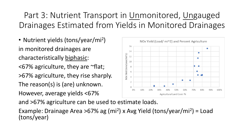## Part 3: Nutrient Transport in Unmonitored, Ungauged Drainages Estimated from Yields in Monitored Drainages

• Nutrient yields (tons/year/mi<sup>2</sup>) in monitored drainages are characteristically biphasic:  $<$  67% agriculture, they are  $\sim$  flat; >67% agriculture, they rise sharply. The reason(s) is (are) unknown. However, average yields <67%



and >67% agriculture can be used to estimate loads.

Example: Drainage Area >67% ag (mi<sup>2</sup>) x Avg Yield (tons/year/mi<sup>2</sup>) = Load (tons/year)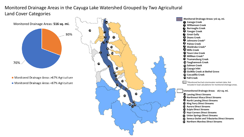#### Monitored Drainage Areas in the Cayuga Lake Watershed Grouped by Two Agricultural Land Cover Categories

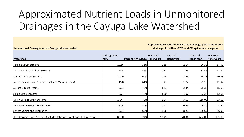# Approximated Nutrient Loads in Unmonitored Drainages in the Cayuga Lake Watershed

**Unmonitored Drainages within Cayuga Lake Watershed**

**Approximated Loads (drainage area x average yield in monitored drainages for either <67% or >67% agriculture category)**

|                                                                           | <b>Drainage Area</b> |                                 | <b>SRP Load</b> | <b>TP Load</b> | <b>NOx Load</b> | <b>TKN Load</b> |
|---------------------------------------------------------------------------|----------------------|---------------------------------|-----------------|----------------|-----------------|-----------------|
| <b>Watershed</b>                                                          | $(mi^2)$             | Percent Agriculture (tons/year) |                 | (tons/year)    | (tons/year)     | (tons/year)     |
| <b>Lansing Direct Streams</b>                                             | 19.66                | 36%                             | 0.59            | 2.14           | 26.32           | 14.90           |
| Northwest Ithaca Direct Streams                                           | 23.5                 | 56%                             | 0.71            | 2.56           | 31.46           | 17.81           |
| King Ferry Direct Streams                                                 | 14.29                | 64%                             | 0.43            | 1.56           | 19.13           | 10.83           |
| North Lansing Direct Streams (includes Milliken Creek)                    | 15.8                 | 61%                             | 0.47            | 1.72           | 21.15           | 11.97           |
| Aurora Direct Streams                                                     | 9.21                 | 73%                             | 1.43            | 2.34           | 75.30           | 15.09           |
| Scipio Direct Streams                                                     | 7.74                 | 76%                             | 1.20            | 1.97           | 63.28           | 12.68           |
| Union Springs Direct Streams                                              | 14.44                | 76%                             | 2.24            | 3.67           | 118.06          | 23.66           |
| Northern Marshes Direct Streams                                           | 6.95                 | 44%                             | 0.21            | 0.76           | 9.30            | 5.27            |
| Seneca Outlet and Tributaries                                             | 75.21                | 65%                             | 2.26            | 8.20           | 100.69          | 56.99           |
| Hayt Corners Direct Streams (includes Johnsons Creek and Sheldrake Creek) | 80.00                | 74%                             | 12.41           | 20.34          | 654.08          | 131.09          |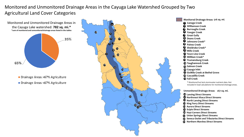#### Monitored and Unmonitored Drainage Areas in the Cayuga Lake Watershed Grouped by Two Agricultural Land Cover Categories



- Drainage Areas >67% Agriculture
- Drainage Areas <67% Agriculture



\* Monitored but lack stormwater nutrient data. Not included in load calculations for monitored drainage areas. **Johnsons Creek\* Sheldrake Creek\***  $\Psi$  Town Line Creek **Milliken Creek\* Trumansburg Creek Taughannock Creek SixMile Creek at Bethel Grove Cascadilla Creek**

**Unmonitored Drainage Areas: 245 sq. mi. 267 sq. mi.**

- **Lansing Direct Streams**
- **Northwest Ithaca Direct Streams**
- **North Lansing Direct Streams**
- **King Ferry Direct Streams**
- **Aurora Direct Streams**
- **Scipio Direct Streams**
- **Hayt Corners Direct Streams**
- **Union Springs Direct Streams**
- **Seneca Outlet and Tributaries Direct Streams**
- **Northern Marshes Direct Streams**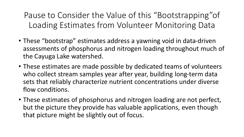Pause to Consider the Value of this "Bootstrapping"of Loading Estimates from Volunteer Monitoring Data

- These "bootstrap" estimates address a yawning void in data-driven assessments of phosphorus and nitrogen loading throughout much of the Cayuga Lake watershed.
- These estimates are made possible by dedicated teams of volunteers who collect stream samples year after year, building long-term data sets that reliably characterize nutrient concentrations under diverse flow conditions.
- These estimates of phosphorus and nitrogen loading are not perfect, but the picture they provide has valuable applications, even though that picture might be slightly out of focus.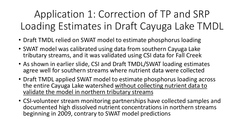Application 1: Correction of TP and SRP Loading Estimates in Draft Cayuga Lake TMDL

- Draft TMDL relied on SWAT model to estimate phosphorus loading
- SWAT model was calibrated using data from southern Cayuga Lake tributary streams, and it was validated using CSI data for Fall Creek
- As shown in earlier slide, CSI and Draft TMDL/SWAT loading estimates agree well for southern streams where nutrient data were collected
- Draft TMDL applied SWAT model to estimate phosphorus loading across the entire Cayuga Lake watershed without collecting nutrient data to validate the model in northern tributary streams
- CSI-volunteer stream monitoring partnerships have collected samples and documented high dissolved nutrient concentrations in northern streams beginning in 2009, contrary to SWAT model predictions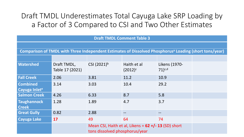## Draft TMDL Underestimates Total Cayuga Lake SRP Loading by a Factor of 3 Compared to CSI and Two Other Estimates

| <b>Draft TMDL Comment Table 3</b>                                                                                  |                                |                                                                                         |                           |                              |  |  |  |  |  |  |
|--------------------------------------------------------------------------------------------------------------------|--------------------------------|-----------------------------------------------------------------------------------------|---------------------------|------------------------------|--|--|--|--|--|--|
|                                                                                                                    |                                |                                                                                         |                           |                              |  |  |  |  |  |  |
| Comparison of TMDL with Three Independent Estimates of Dissolved Phosphorus <sup>a</sup> Loading (short tons/year) |                                |                                                                                         |                           |                              |  |  |  |  |  |  |
|                                                                                                                    |                                |                                                                                         |                           |                              |  |  |  |  |  |  |
| <b>Watershed</b>                                                                                                   | Draft TMDL,<br>Table 17 (2021) | CSI $(2021)^b$                                                                          | Haith et al<br>$(2012)^c$ | Likens (1970-<br>$71)^{c,d}$ |  |  |  |  |  |  |
| <b>Fall Creek</b>                                                                                                  | 2.06                           | 3.81                                                                                    | 11.2                      | 10.9                         |  |  |  |  |  |  |
| <b>Combined</b><br>Cayuga Inlete                                                                                   | 3.14                           | 3.03                                                                                    | 10.4                      | 29.2                         |  |  |  |  |  |  |
| <b>Salmon Creek</b>                                                                                                | 4.26                           | 6.33                                                                                    | 8.7                       | 5.8                          |  |  |  |  |  |  |
| <b>Taughannock</b><br><b>Creek</b>                                                                                 | 1.28                           | 1.89                                                                                    | 4.7                       | 3.7                          |  |  |  |  |  |  |
| <b>Great Gully</b>                                                                                                 | 0.82                           | 2.88                                                                                    | $\qquad \qquad -$         |                              |  |  |  |  |  |  |
| <b>Cayuga Lake</b>                                                                                                 | <b>17</b>                      | 49                                                                                      | 64                        | 74                           |  |  |  |  |  |  |
|                                                                                                                    |                                | Mean CSI, Haith et al, Likens = $62 +/-13$ (SD) short<br>tons dissolved phosphorus/year |                           |                              |  |  |  |  |  |  |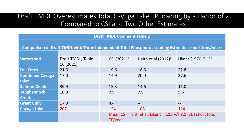### Draft TMDL Overestimates Total Cayuga Lake TP loading by a Factor of 2 Compared to CSI and Two Other Estimates

| <b>Draft TMDL Comment Table 2</b>                                                                    |                   |                                                               |                          |                     |  |  |  |  |  |  |  |
|------------------------------------------------------------------------------------------------------|-------------------|---------------------------------------------------------------|--------------------------|---------------------|--|--|--|--|--|--|--|
|                                                                                                      |                   |                                                               |                          |                     |  |  |  |  |  |  |  |
| Comparison of Draft TMDL with Three Independent Total Phosphorus Loading Estimates (short tons/year) |                   |                                                               |                          |                     |  |  |  |  |  |  |  |
|                                                                                                      |                   |                                                               |                          |                     |  |  |  |  |  |  |  |
| Watershed                                                                                            | Draft TMDL, Table | CSI (2021) <sup>a</sup>                                       | Haith et al $(2012)^{b}$ | Likens (1970-71)b,c |  |  |  |  |  |  |  |
|                                                                                                      | 16 (2021)         |                                                               |                          |                     |  |  |  |  |  |  |  |
| <b>Fall Creek</b>                                                                                    | 21.6              | 19.6                                                          | 18.6                     | 22.8                |  |  |  |  |  |  |  |
| <b>Combined Cayuga</b>                                                                               | 17.0              | 14.9                                                          | 20.0                     | 37.6                |  |  |  |  |  |  |  |
| Inlet <sup>d</sup>                                                                                   |                   |                                                               |                          |                     |  |  |  |  |  |  |  |
| <b>Salmon Creek</b>                                                                                  | 39.9              | 15.3                                                          | 14.6                     | 11.0                |  |  |  |  |  |  |  |
| <b>Taughannock</b>                                                                                   | 10.9              | 7.9                                                           | 7.9                      | 5.6                 |  |  |  |  |  |  |  |
| <b>Creek</b>                                                                                         |                   |                                                               |                          |                     |  |  |  |  |  |  |  |
| <b>Great Gully</b>                                                                                   | 17.9              | 4.4                                                           |                          | $\qquad \qquad -$   |  |  |  |  |  |  |  |
| <b>Cayuga Lake</b>                                                                                   | 207               | 124                                                           | 108                      | 114                 |  |  |  |  |  |  |  |
|                                                                                                      |                   | Mean CSI, Haith et al, Likens = $115 +/- 8.1$ (SD) short tons |                          |                     |  |  |  |  |  |  |  |
|                                                                                                      |                   | TP/year                                                       |                          |                     |  |  |  |  |  |  |  |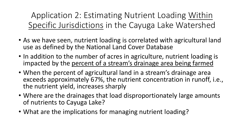Application 2: Estimating Nutrient Loading Within Specific Jurisdictions in the Cayuga Lake Watershed

- As we have seen, nutrient loading is correlated with agricultural land use as defined by the National Land Cover Database
- In addition to the number of acres in agriculture, nutrient loading is impacted by the percent of a stream's drainage area being farmed
- When the percent of agricultural land in a stream's drainage area exceeds approximately 67%, the nutrient concentration in runoff, i.e., the nutrient yield, increases sharply
- Where are the drainages that load disproportionately large amounts of nutrients to Cayuga Lake?
- What are the implications for managing nutrient loading?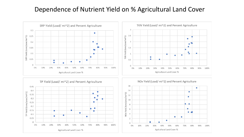### Dependence of Nutrient Yield on % Agricultural Land Cover

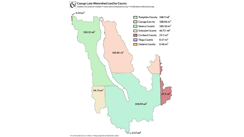

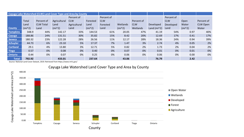| Cayuga Lake Watershed (CLW) Land Cover Type and Area by County |          |                  |              |              |          |            |          |            |                 |            |          |                 |
|----------------------------------------------------------------|----------|------------------|--------------|--------------|----------|------------|----------|------------|-----------------|------------|----------|-----------------|
|                                                                |          |                  |              | Percent of   |          | Percent of |          |            |                 | Percent of |          |                 |
|                                                                | Total    | Percent of       | Agricultural | <b>CLW</b>   | Forested | <b>CLW</b> |          | Percent of |                 | <b>CLW</b> | Open     | Percent of      |
|                                                                | Land     | <b>CLW Total</b> | Land         | Agricultural | Land     | Forested   | Wetlands | <b>CLW</b> | Developed       | Developed  | Water    | <b>CLW Open</b> |
| <b>County</b>                                                  | $(mi^2)$ | Land             | $(mi^2)$     | Land         | $(mi^2)$ | Land       | $(mi^2)$ | Wetlands   | Land ( $mi^2$ ) | Land       | $(mi^2)$ | Water           |
| <b>Tompkins</b>                                                | 348.9    | 44%              | 142.17       | 33%          | 144.53   | 61%        | 20.05    | 47%        | 41.19           | 54%        | 0.97     | 40%             |
| <b>Cayuga</b>                                                  | 188.86   | 24%              | 131.51       | 30%          | 35.82    | 15%        | 8.42     | 20%        | 12.69           | 17%        | 0.41     | 17%             |
| <b>Seneca</b>                                                  | 180.32   | 23%              | 122.28       | 28%          | 26.56    | 11%        | 12.17    | 28%        | 18.36           | 24%        | 0.94     | 39%             |
| Schuyler                                                       | 44.73    | 6%               | 23.10        | 5%           | 17.37    | 7%         | 1.47     | 3%         | 2.74            | 4%         | 0.05     | 2%              |
| <b>Cortland</b>                                                | 29.1     | 4%               | 13.80        | 3%           | 12.71    | 5%         | 0.82     | 2%         | 1.73            | 2%         | 0.04     | 2%              |
| <b>Tioga</b>                                                   | 0.57     | 0%               | 0.08         | 0%           | 0.40     | 0%         | 0.07     | 0%         | 0.01            | 0%         | 0.01     | 0%              |
| <b>Ontario</b>                                                 | 0.44     | 0%               | 0.07         | 0%           | 0.25     | 0%         | 0.06     | 0%         | 0.06            | 0%         | 0.00     | 0%              |
| <b>Total:</b>                                                  | 792.92   |                  | 433.01       |              | 237.64   |            | 43.06    |            | 76.79           |            | 2.42     |                 |

Source: National Land Cover Dataset, 2019. Retrieved from https://www.mrlc.gov/

#### Cayuga Lake Watershed Land Cover Type and Area by County

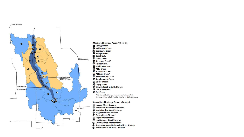

Monitored Drainage Areas: 516 sq. mi. Williamson Creek **Burroughs Creek O** Yawger Creek **U** Johnsons Creek\* Sheldrake Creek\* *Q* Town Line Creek *D* Milliken Creek\* *C* Trumansburg Creek <sup>1</sup> Taughannock Creek **W** SixMile Creek at Bethel Grove *C* Cascadilla Creek \* Monitored but lack stormwater nutrient data. Not included in load calculations for monitored drainage areas. Unmonitored Drainage Areas: 267 sq. mi. *Q* Lansing Direct Streams

- **D** Northwest Ithaca Direct Streams
- **R** North Lansing Direct Streams
- **& King Ferry Direct Streams**
- Aurora Direct Streams
- Scipio Direct Streams
- *L* Hayt Corners Direct Streams
- **O** Union Springs Direct Streams
- Seneca Outlet and Tributaries Direct Streams
- Northern Marshes Direct Streams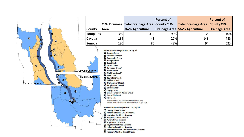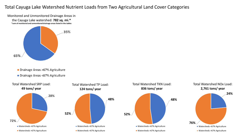#### Total Cayuga Lake Watershed Nutrient Loads from Two Agricultural Land Cover Categories

Monitored and Unmonitored Drainage Areas in the Cayuga Lake watershed: **782 sq. mi.\* \*sum of monitored and unmonitored drainage areas listed in the tables**



- Drainage Areas >67% Agriculture
- Drainage Areas <67% Agriculture

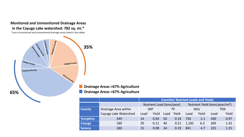

\*sum of monitored and unmonitored drainage areas listed in the tables



**Drainage Areas >67% Agriculture**

#### **Drainage Areas <67% Agriculture**

|                 |                       | <b>Counties' Nutrient Loads and Yields</b> |                           |      |       |                                             |       |            |       |  |  |  |
|-----------------|-----------------------|--------------------------------------------|---------------------------|------|-------|---------------------------------------------|-------|------------|-------|--|--|--|
|                 |                       |                                            | Nutrient Load (tons/year) |      |       | Nutrient Yield (tons/year/mi <sup>2</sup> ) |       |            |       |  |  |  |
| <b>County</b>   | Drainage Area within  | <b>SRP</b>                                 |                           | TP.  |       | <b>NO<sub>x</sub></b>                       |       | <b>TKN</b> |       |  |  |  |
|                 | Cayuga Lake Watershed | Load                                       | Yield                     | Load | Yield | Load                                        | Yield | Load       | Yield |  |  |  |
| <b>Tompkins</b> | 349                   | 14                                         | 0.04                      | 50   | 0.14  | 734                                         | 2.1   | 340        | 0.97  |  |  |  |
| Cayuga          | 189                   | 20                                         | 0.11                      | 40   | 0.21  | 1,182                                       | 6.3   | 269        | 1.42  |  |  |  |
| <b>Seneca</b>   | 180                   | 15                                         | 0.08                      | 34   | 0.19  | 841                                         | 4.7   | 225        | 1.25  |  |  |  |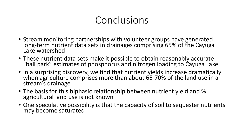# Conclusions

- Stream monitoring partnerships with volunteer groups have generated long-term nutrient data sets in drainages comprising 65% of the Cayuga Lake watershed
- These nutrient data sets make it possible to obtain reasonably accurate "ball park" estimates of phosphorus and nitrogen loading to Cayuga Lake
- In a surprising discovery, we find that nutrient yields increase dramatically when agriculture comprises more than about  $65$ -70% of the land use in a stream's drainage
- The basis for this biphasic relationship between nutrient yield and % agricultural land use is not known
- One speculative possibility is that the capacity of soil to sequester nutrients may become saturated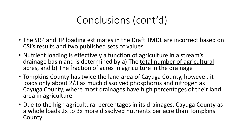# Conclusions (cont'd)

- The SRP and TP loading estimates in the Draft TMDL are incorrect based on CSI's results and two published sets of values
- Nutrient loading is effectively a function of agriculture in a stream's drainage basin and is determined by a) The total number of agricultural acres, and b) The fraction of acres in agriculture in the drainage
- Tompkins County has twice the land area of Cayuga County, however, it loads only about 2/3 as much dissolved phosphorus and nitrogen as Cayuga County, where most drainages have high percentages of their land area in agriculture
- Due to the high agricultural percentages in its drainages, Cayuga County as a whole loads 2x to 3x more dissolved nutrients per acre than Tompkins County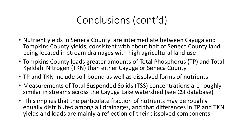# Conclusions (cont'd)

- Nutrient yields in Seneca County are intermediate between Cayuga and Tompkins County yields, consistent with about half of Seneca County land being located in stream drainages with high agricultural land use
- Tompkins County loads greater amounts of Total Phosphorus (TP) and Total Kjeldahl Nitrogen (TKN) than either Cayuga or Seneca County
- TP and TKN include soil-bound as well as dissolved forms of nutrients
- Measurements of Total Suspended Solids (TSS) concentrations are roughly similar in streams across the Cayuga Lake watershed (see CSI database)
- This implies that the particulate fraction of nutrients may be roughly equally distributed among all drainages, and that differences in TP and TKN yields and loads are mainly a reflection of their dissolved components.